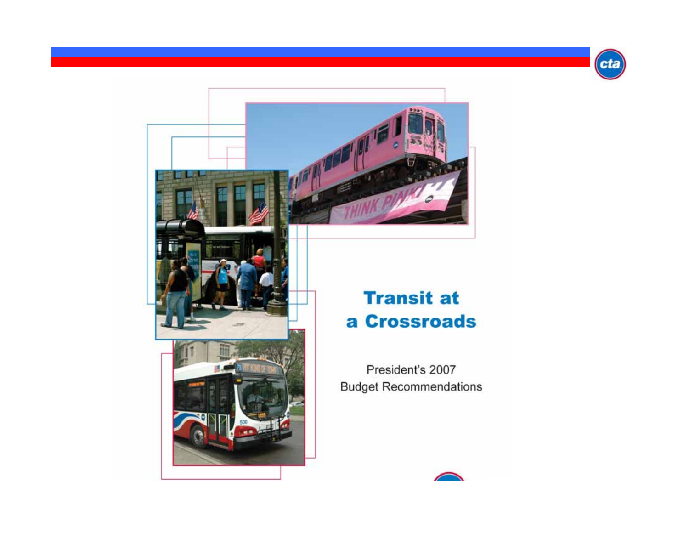





## **Transit at** a Crossroads

President's 2007 **Budget Recommendations** 

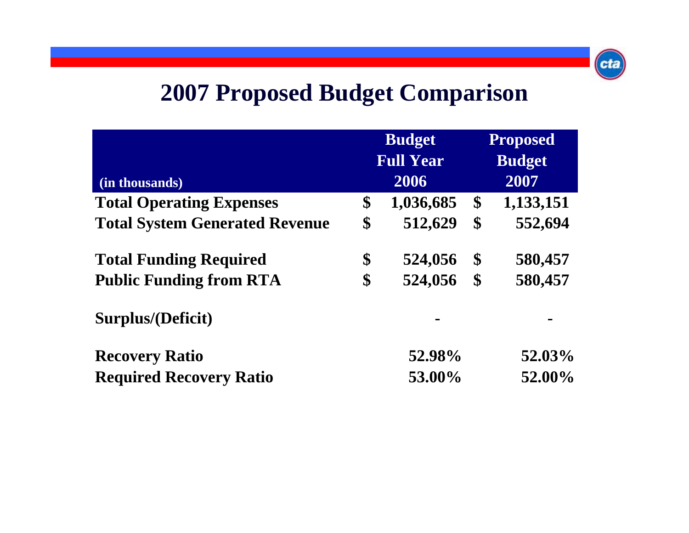

# **2007 Proposed Budget Comparison**

|                                       | <b>Budget</b><br><b>Full Year</b> |           | <b>Proposed</b><br><b>Budget</b> |           |
|---------------------------------------|-----------------------------------|-----------|----------------------------------|-----------|
|                                       |                                   |           |                                  |           |
| (in thousands)                        |                                   | 2006      |                                  | 2007      |
| <b>Total Operating Expenses</b>       | \$                                | 1,036,685 | \$                               | 1,133,151 |
| <b>Total System Generated Revenue</b> | \$                                | 512,629   | \$                               | 552,694   |
| <b>Total Funding Required</b>         | \$                                | 524,056   | $\boldsymbol{\mathsf{S}}$        | 580,457   |
| <b>Public Funding from RTA</b>        | \$                                | 524,056   | $\boldsymbol{\$}$                | 580,457   |
| Surplus/(Deficit)                     |                                   |           |                                  |           |
| <b>Recovery Ratio</b>                 |                                   | 52.98%    |                                  | 52.03%    |
| <b>Required Recovery Ratio</b>        |                                   | 53.00%    |                                  | 52.00%    |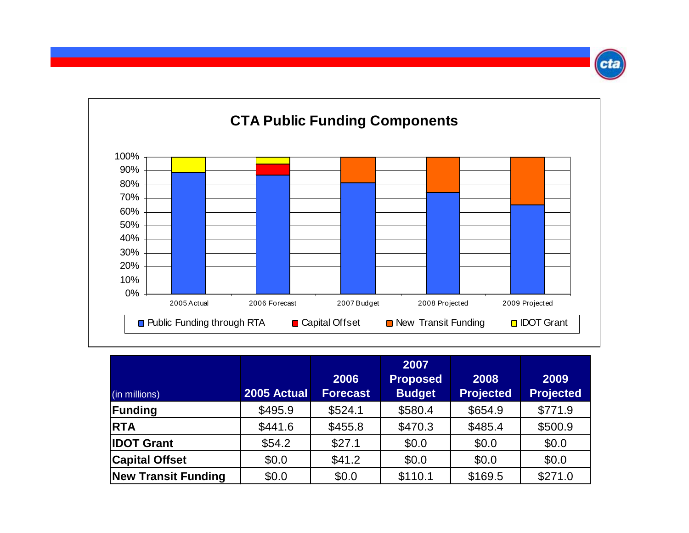

| (in millions)              | 2005 Actual | 2006<br><b>Forecast</b> | 2007<br><b>Proposed</b><br><b>Budget</b> | 2008<br><b>Projected</b> | 2009<br><b>Projected</b> |
|----------------------------|-------------|-------------------------|------------------------------------------|--------------------------|--------------------------|
| Funding                    | \$495.9     | \$524.1                 | \$580.4                                  | \$654.9                  | \$771.9                  |
| <b>RTA</b>                 | \$441.6     | \$455.8                 | \$470.3                                  | \$485.4                  | \$500.9                  |
| <b>IDOT Grant</b>          | \$54.2      | \$27.1                  | \$0.0                                    | \$0.0                    | \$0.0                    |
| <b>Capital Offset</b>      | \$0.0       | \$41.2                  | \$0.0                                    | \$0.0                    | \$0.0                    |
| <b>New Transit Funding</b> | \$0.0       | \$0.0                   | \$110.1                                  | \$169.5                  | \$271.0                  |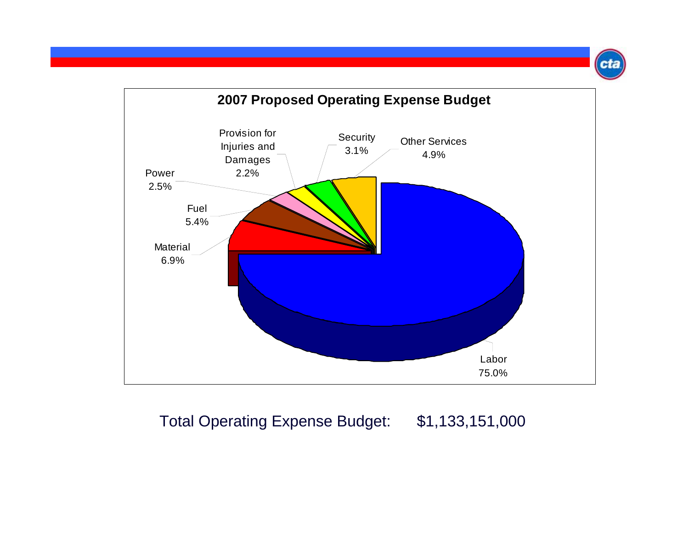

#### Total Operating Expense Budget: \$1,133,151,000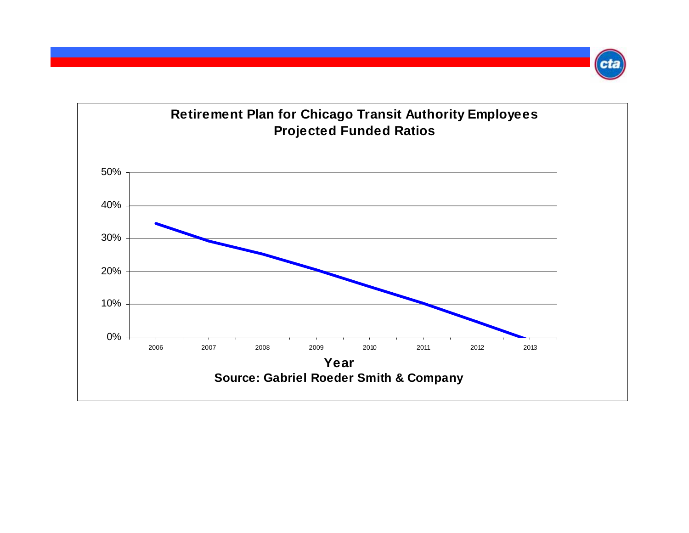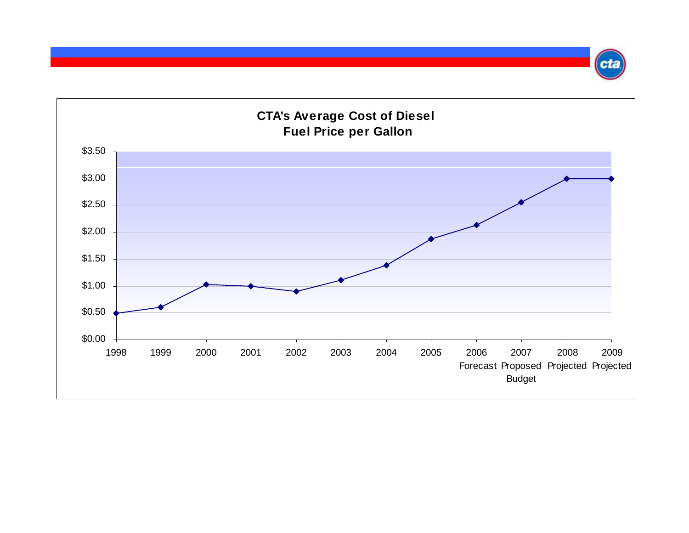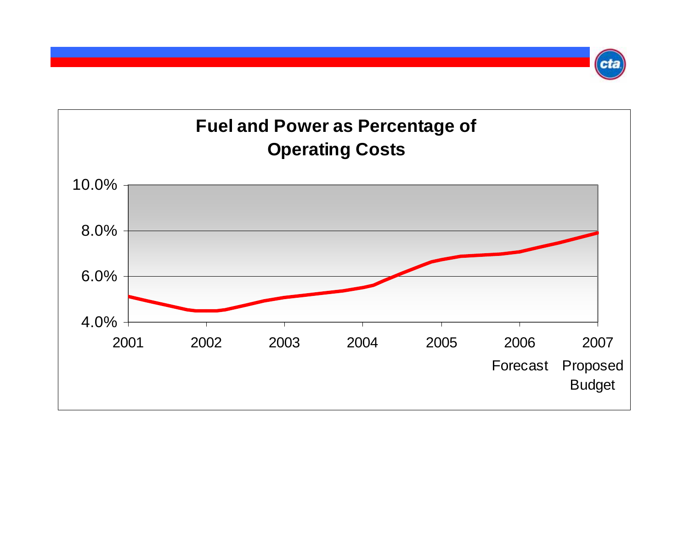### **Fuel and Power as Percentage of Operating Costs**

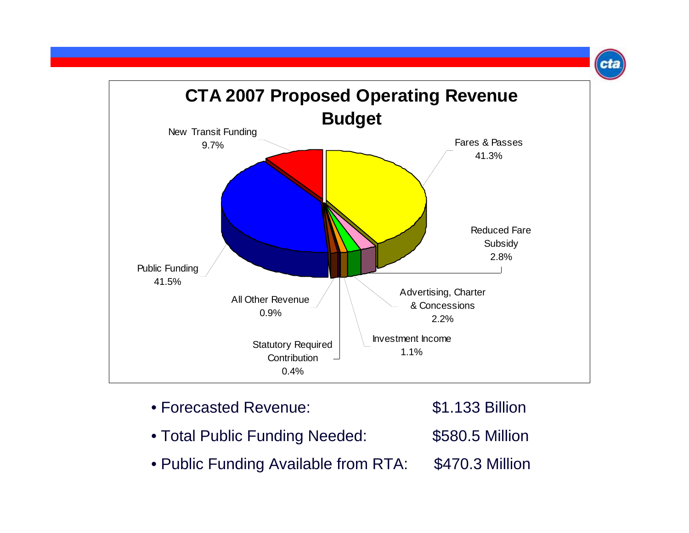

- Forecasted Revenue: \$1.133 Billion
- Total Public Funding Needed: \$580.5 Million
- Public Funding Available from RTA: \$470.3 Million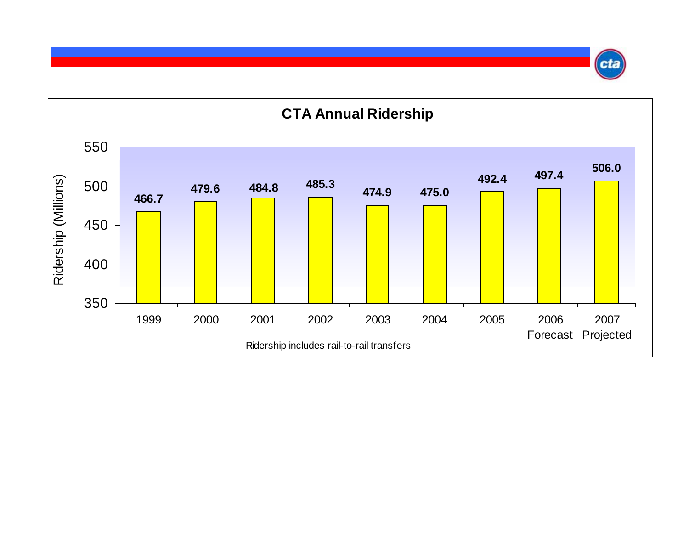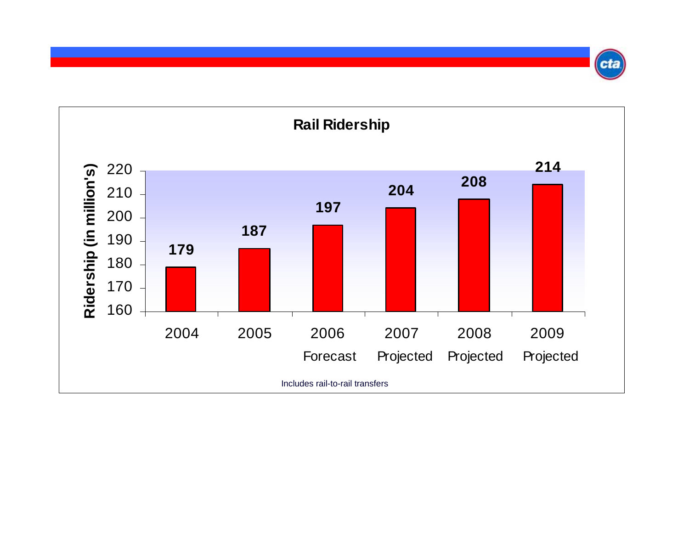

Cti